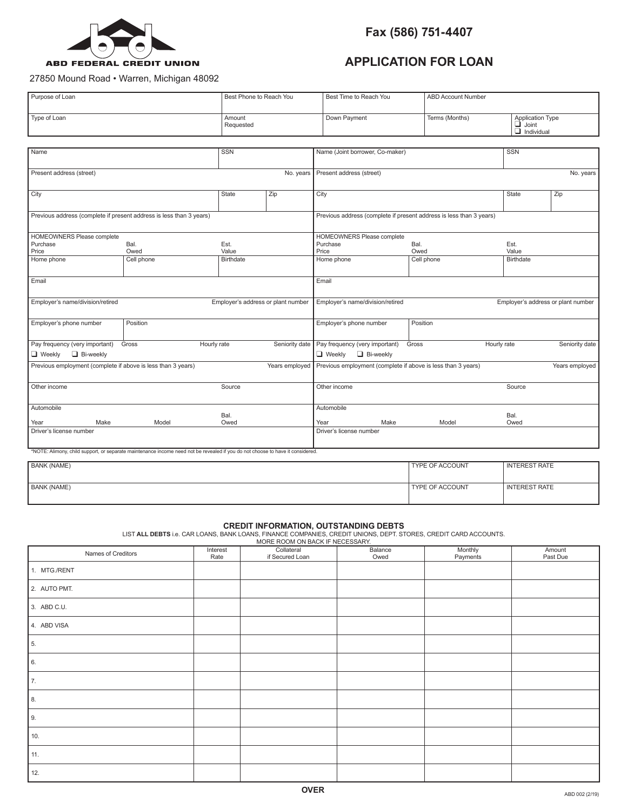

## **APPLICATION FOR LOAN**

27850 Mound Road • Warren, Michigan 48092

| Purpose of Loan<br>Best Phone to Reach You                                                                                     |            |                  | Best Time to Reach You                                                 |                                 | ABD Account Number |                                                                     |                      |                                       |  |
|--------------------------------------------------------------------------------------------------------------------------------|------------|------------------|------------------------------------------------------------------------|---------------------------------|--------------------|---------------------------------------------------------------------|----------------------|---------------------------------------|--|
| Type of Loan<br>Amount<br>Requested                                                                                            |            |                  |                                                                        |                                 | Down Payment       | Terms (Months)                                                      | $\Box$ Joint         | Application Type<br>$\Box$ Individual |  |
|                                                                                                                                |            |                  |                                                                        |                                 |                    |                                                                     |                      |                                       |  |
| Name                                                                                                                           |            | <b>SSN</b>       |                                                                        | Name (Joint borrower, Co-maker) |                    |                                                                     | <b>SSN</b>           |                                       |  |
|                                                                                                                                |            |                  |                                                                        |                                 |                    |                                                                     |                      |                                       |  |
| Present address (street)                                                                                                       |            |                  | No. years                                                              | Present address (street)        |                    |                                                                     |                      | No. years                             |  |
|                                                                                                                                |            |                  |                                                                        |                                 |                    |                                                                     |                      |                                       |  |
| City                                                                                                                           |            | <b>State</b>     | Zip                                                                    | City                            |                    | State                                                               | Zip                  |                                       |  |
| Previous address (complete if present address is less than 3 years)                                                            |            |                  |                                                                        |                                 |                    | Previous address (complete if present address is less than 3 years) |                      |                                       |  |
|                                                                                                                                |            |                  |                                                                        |                                 |                    |                                                                     |                      |                                       |  |
| HOMEOWNERS Please complete                                                                                                     |            |                  |                                                                        | HOMEOWNERS Please complete      |                    |                                                                     |                      |                                       |  |
| Purchase                                                                                                                       | Bal.       | Est.             |                                                                        | Purchase<br>Bal.                |                    | Est.                                                                |                      |                                       |  |
| Price                                                                                                                          | Owed       | Value            |                                                                        | Price                           |                    | Owed                                                                | Value                |                                       |  |
| Home phone                                                                                                                     | Cell phone | <b>Birthdate</b> |                                                                        | Home phone                      |                    | Cell phone                                                          | <b>Birthdate</b>     |                                       |  |
|                                                                                                                                |            |                  |                                                                        |                                 |                    |                                                                     |                      |                                       |  |
| Email                                                                                                                          |            |                  |                                                                        | Email                           |                    |                                                                     |                      |                                       |  |
|                                                                                                                                |            |                  |                                                                        |                                 |                    |                                                                     |                      |                                       |  |
| Employer's name/division/retired<br>Employer's address or plant number                                                         |            |                  | Employer's name/division/retired<br>Employer's address or plant number |                                 |                    |                                                                     |                      |                                       |  |
| Employer's phone number                                                                                                        | Position   |                  |                                                                        | Employer's phone number         |                    | Position                                                            |                      |                                       |  |
| Pay frequency (very important)<br>Seniority date<br>Gross<br>Hourly rate                                                       |            |                  | Pay frequency (very important)                                         |                                 | Gross              | Hourly rate                                                         | Seniority date       |                                       |  |
| Bi-weekly<br>$\Box$ Weekly                                                                                                     |            |                  |                                                                        | $\Box$ Weekly                   | Bi-weekly          |                                                                     |                      |                                       |  |
| Previous employment (complete if above is less than 3 years)                                                                   |            |                  | Years employed                                                         |                                 |                    | Previous employment (complete if above is less than 3 years)        |                      | Years employed                        |  |
|                                                                                                                                |            |                  |                                                                        |                                 |                    |                                                                     |                      |                                       |  |
| Other income                                                                                                                   |            | Source           |                                                                        | Other income                    |                    |                                                                     | Source               |                                       |  |
|                                                                                                                                |            |                  |                                                                        |                                 |                    |                                                                     |                      |                                       |  |
| Automobile                                                                                                                     |            |                  |                                                                        | Automobile                      |                    |                                                                     |                      |                                       |  |
| Make                                                                                                                           | Model      | Bal.<br>Owed     |                                                                        | Year                            | Make               | Model                                                               | Bal.<br>Owed         |                                       |  |
| Year<br>Driver's license number                                                                                                |            |                  |                                                                        | Driver's license number         |                    |                                                                     |                      |                                       |  |
|                                                                                                                                |            |                  |                                                                        |                                 |                    |                                                                     |                      |                                       |  |
| *NOTE: Alimony, child support, or separate maintenance income need not be revealed if you do not choose to have it considered. |            |                  |                                                                        |                                 |                    |                                                                     |                      |                                       |  |
| <b>BANK (NAME)</b>                                                                                                             |            |                  |                                                                        |                                 |                    | <b>TYPE OF ACCOUNT</b>                                              | <b>INTEREST RATE</b> |                                       |  |
|                                                                                                                                |            |                  |                                                                        |                                 |                    |                                                                     |                      |                                       |  |
| <b>BANK (NAME)</b>                                                                                                             |            |                  |                                                                        |                                 |                    | TYPE OF ACCOUNT                                                     | <b>INTEREST RATE</b> |                                       |  |
|                                                                                                                                |            |                  |                                                                        |                                 |                    |                                                                     |                      |                                       |  |

**CREDIT INFORMATION, OUTSTANDING DEBTS**<br>LIST **ALL DEBTS** i.e. CAR LOANS, BANK LOANS, FINANCE COMPANIES, CREDIT UNIONS, DEPT. STORES, CREDIT CARD ACCOUNTS.<br>MORE ROOM ON BACK IF NECESSARY.

| Names of Creditors | Interest<br>Rate | Collateral<br>if Secured Loan | Balance<br>Owed | Monthly<br>Payments | Amount<br>Past Due |
|--------------------|------------------|-------------------------------|-----------------|---------------------|--------------------|
| 1. MTG./RENT       |                  |                               |                 |                     |                    |
| 2. AUTO PMT.       |                  |                               |                 |                     |                    |
| 3. ABD C.U.        |                  |                               |                 |                     |                    |
| 4. ABD VISA        |                  |                               |                 |                     |                    |
| $\vert$ 5.         |                  |                               |                 |                     |                    |
| $\vert$ 6.         |                  |                               |                 |                     |                    |
| $\vert$ 7.         |                  |                               |                 |                     |                    |
| $\vert$ 8.         |                  |                               |                 |                     |                    |
| $\vert$ 9.         |                  |                               |                 |                     |                    |
| 10.                |                  |                               |                 |                     |                    |
| $\vert$ 11.        |                  |                               |                 |                     |                    |
| 12.                |                  |                               |                 |                     |                    |